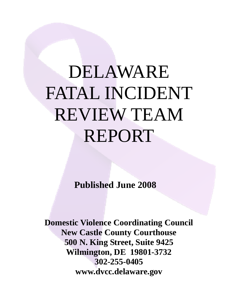# DELAWARE FATAL INCIDENT REVIEW TEAM REPORT

**Published June 2008** 

**Domestic Violence Coordinating Council New Castle County Courthouse 500 N. King Street, Suite 9425 Wilmington, DE 19801-3732 302-255-0405 www.dvcc.delaware.gov**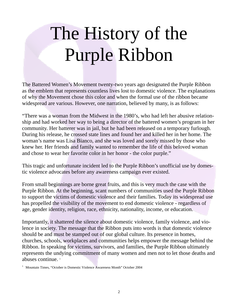# The History of the Purple Ribbon

The Battered Women's Movement twenty-two years ago designated the Purple Ribbon as the emblem that represents countless lives lost to domestic violence. The explanations of why the Movement chose this color and when the formal use of the ribbon became widespread are various. However, one narration, believed by many, is as follows:

"There was a woman from the Midwest in the 1980's, who had left her abusive relationship and had worked her way to being a director of the battered women's program in her community. Her batterer was in jail, but he had been released on a temporary furlough. During his release, he crossed state lines and found her and killed her in her home. The woman's name was Lisa Bianco, and she was loved and sorely missed by those who knew her. Her friends and family wanted to remember the life of this beloved woman and chose to wear her favorite color in her honor - the color purple."

This tragic and unfortunate incident led to the Purple Ribbon's unofficial use by domestic violence advocates before any awareness campaign ever existed.

From small beginnings are borne great fruits, and this is very much the case with the Purple Ribbon. At the beginning, scant numbers of communities used the Purple Ribbon to support the victims of domestic violence and their families. Today its widespread use has propelled the visibility of the movement to end domestic violence - regardless of age, gender identity, religion, race, ethnicity, nationality, income, or education.

Importantly, it shattered the silence about domestic violence, family violence, and violence in society. The message that the Ribbon puts into words is that domestic violence should be and must be stamped out of our global culture. Its presence in homes, churches, schools, workplaces and communities helps empower the message behind the Ribbon. In speaking for victims, survivors, and families, the Purple Ribbon ultimately represents the undying commitment of many women and men not to let those deaths and abuses continue.<sup>1</sup>

<sup>&</sup>lt;sup>1</sup> Mountain Times, "October is Domestic Violence Awareness Month" October 2004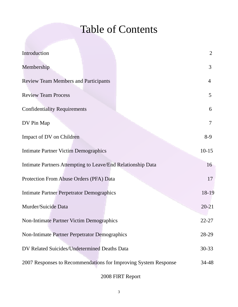# Table of Contents

| Introduction                                                    | 2              |
|-----------------------------------------------------------------|----------------|
| Membership                                                      | 3              |
| <b>Review Team Members and Participants</b>                     | $\overline{4}$ |
| <b>Review Team Process</b>                                      | 5              |
| <b>Confidentiality Requirements</b>                             | 6              |
| DV Pin Map                                                      | 7              |
| Impact of DV on Children                                        | $8-9$          |
| <b>Intimate Partner Victim Demographics</b>                     | $10-15$        |
| Intimate Partners Attempting to Leave/End Relationship Data     | 16             |
| Protection From Abuse Orders (PFA) Data                         | 17             |
| <b>Intimate Partner Perpetrator Demographics</b>                | 18-19          |
| Murder/Suicide Data                                             | $20 - 21$      |
| Non-Intimate Partner Victim Demographics                        | 22-27          |
| Non-Intimate Partner Perpetrator Demographics                   | 28-29          |
| DV Related Suicides/Undetermined Deaths Data                    | $30 - 33$      |
| 2007 Responses to Recommendations for Improving System Response | 34-48          |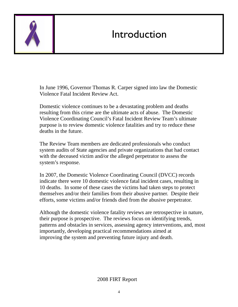

### Introduction

In June 1996, Governor Thomas R. Carper signed into law the Domestic Violence Fatal Incident Review Act.

Domestic violence continues to be a devastating problem and deaths resulting from this crime are the ultimate acts of abuse. The Domestic Violence Coordinating Council's Fatal Incident Review Team's ultimate purpose is to review domestic violence fatalities and try to reduce these deaths in the future.

The Review Team members are dedicated professionals who conduct system audits of State agencies and private organizations that had contact with the deceased victim and/or the alleged perpetrator to assess the system's response.

In 2007, the Domestic Violence Coordinating Council (DVCC) records indicate there were 10 domestic violence fatal incident cases, resulting in 10 deaths. In some of these cases the victims had taken steps to protect themselves and/or their families from their abusive partner. Despite their efforts, some victims and/or friends died from the abusive perpetrator.

Although the domestic violence fatality reviews are retrospective in nature, their purpose is prospective. The reviews focus on identifying trends, patterns and obstacles in services, assessing agency interventions, and, most importantly, developing practical recommendations aimed at improving the system and preventing future injury and death.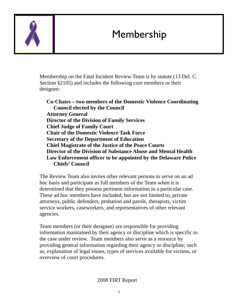### Membership



Membership on the Fatal Incident Review Team is by statute (13 Del. C. Section §2105) and includes the following core members or their designee:

**Co-Chairs – two members of the Domestic Violence Coordinating Council elected by the Council Attorney General Director of the Division of Family Services Chief Judge of Family Court Chair of the Domestic Violence Task Force Secretary of the Department of Education Chief Magistrate of the Justice of the Peace Courts Director of the Division of Substance Abuse and Mental Health Law Enforcement officer to be appointed by the Delaware Police Chiefs' Council** 

The Review Team also invites other relevant persons to serve on an ad hoc basis and participate as full members of the Team when it is determined that they possess pertinent information in a particular case. These ad hoc members have included, but are not limited to, private attorneys, public defenders, probation and parole, therapists, victim service workers, caseworkers, and representatives of other relevant agencies.

Team members (or their designee) are responsible for providing information maintained by their agency or discipline which is specific to the case under review. Team members also serve as a resource by providing general information regarding their agency or discipline; such as, explanation of legal issues, types of services available for victims, or overview of court procedures.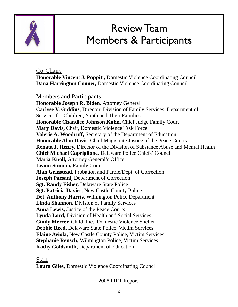

### Review Team Members & Participants

#### Co-Chairs

**Honorable Vincent J. Poppiti,** Domestic Violence Coordinating Council **Dana Harrington Conner,** Domestic Violence Coordinating Council

#### Members and Participants

**Honorable Joseph R. Biden,** Attorney General **Carlyse V. Giddins,** Director, Division of Family Services, Department of Services for Children, Youth and Their Families **Honorable Chandlee Johnson Kuhn,** Chief Judge Family Court **Mary Davis,** Chair, Domestic Violence Task Force **Valerie A. Woodruff,** Secretary of the Department of Education **Honorable Alan Davis,** Chief Magistrate Justice of the Peace Courts **Renata J. Henry,** Director of the Division of Substance Abuse and Mental Health **Chief Michael Capriglione,** Delaware Police Chiefs' Council **Maria Knoll,** Attorney General's Office **Leann Summa,** Family Court **Alan Grinstead,** Probation and Parole/Dept. of Correction **Joseph Paesani,** Department of Correction **Sgt. Randy Fisher,** Delaware State Police **Sgt. Patricia Davies,** New Castle County Police **Det. Anthony Harris,** Wilmington Police Department **Linda Shannon,** Division of Family Services **Anna Lewis,** Justice of the Peace Courts **Lynda Lord,** Division of Health and Social Services **Cindy Mercer,** Child, Inc., Domestic Violence Shelter **Debbie Reed,** Delaware State Police, Victim Services **Elaine Aviola,** New Castle County Police, Victim Services **Stephanie Rensch,** Wilmington Police, Victim Services **Kathy Goldsmith,** Department of Education

#### Staff

**Laura Giles,** Domestic Violence Coordinating Council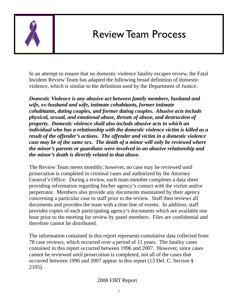

### Review Team Process

In an attempt to ensure that no domestic violence fatality escapes review, the Fatal Incident Review Team has adapted the following broad definition of domestic violence, which is similar to the definition used by the Department of Justice.

*Domestic Violence is any abusive act between family members, husband and wife, ex-husband and wife, intimate cohabitants, former intimate cohabitants, dating couples, and former dating couples. Abusive acts include physical, sexual, and emotional abuse, threats of abuse, and destruction of property. Domestic violence shall also include abusive acts in which an individual who has a relationship with the domestic violence victim is killed as a result of the offender's actions. The offender and victim in a domestic violence case may be of the same sex. The death of a minor will only be reviewed where the minor's parents or guardians were involved in an abusive relationship and the minor's death is directly related to that abuse.* 

The Review Team meets monthly; however, no case may be reviewed until prosecution is completed in criminal cases and authorized by the Attorney General's Office. During a review, each team member completes a data sheet providing information regarding his/her agency's contact with the victim and/or perpetrator. Members also provide any documents maintained by their agency concerning a particular case to staff prior to the review. Staff then reviews all documents and provides the team with a time line of events. In addition, staff provides copies of each participating agency's documents which are available one hour prior to the meeting for review by panel members. Files are confidential and therefore cannot be distributed.

The information contained in this report represents cumulative data collected from 78 case reviews, which occurred over a period of 11 years. The fatality cases contained in this report occurred between 1996 and 2007. However, since cases cannot be reviewed until prosecution is completed, not all of the cases that occurred between 1996 and 2007 appear in this report (13 Del. C. Section § 2105).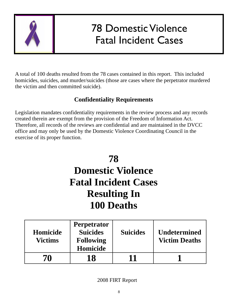

# 78 Domestic Violence Fatal Incident Cases

A total of 100 deaths resulted from the 78 cases contained in this report. This included homicides, suicides, and murder/suicides (those are cases where the perpetrator murdered the victim and then committed suicide).

### **Confidentiality Requirements**

Legislation mandates confidentiality requirements in the review process and any records created therein are exempt from the provision of the Freedom of Information Act. Therefore, all records of the reviews are confidential and are maintained in the DVCC office and may only be used by the Domestic Violence Coordinating Council in the exercise of its proper function.

### **78 Domestic Violence Fatal Incident Cases Resulting In 100 Deaths**

| Homicide<br><b>Victims</b> | <b>Perpetrator</b><br><b>Suicides</b><br><b>Following</b><br>Homicide | <b>Suicides</b> | <b>Undetermined</b><br><b>Victim Deaths</b> |
|----------------------------|-----------------------------------------------------------------------|-----------------|---------------------------------------------|
| 70                         | 18                                                                    | 11              |                                             |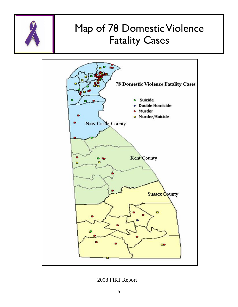

### Map of 78 Domestic Violence Fatality Cases

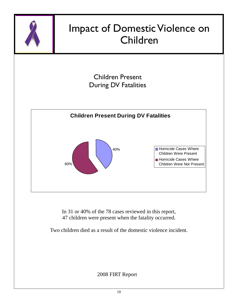

In 31 or 40% of the 78 cases reviewed in this report, 47 children were present when the fatality occurred.

Two children died as a result of the domestic violence incident.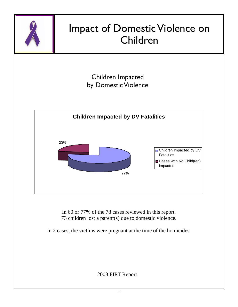

In 60 or 77% of the 78 cases reviewed in this report, 73 children lost a parent(s) due to domestic violence.

In 2 cases, the victims were pregnant at the time of the homicides.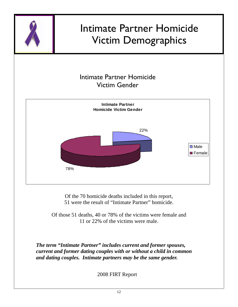

*The term "Intimate Partner" includes current and former spouses, current and former dating couples with or without a child in common and dating couples. Intimate partners may be the same gender.*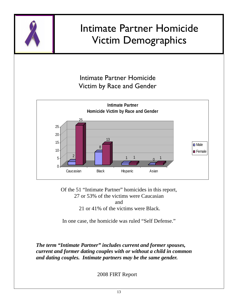

Of the 51 "Intimate Partner" homicides in this report, 27 or 53% of the victims were Caucasian and 21 or 41% of the victims were Black.

In one case, the homicide was ruled "Self Defense."

*The term "Intimate Partner" includes current and former spouses, current and former dating couples with or without a child in common and dating couples. Intimate partners may be the same gender.*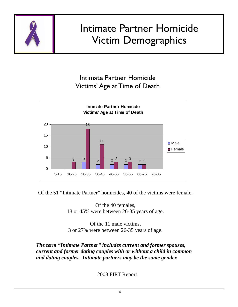

Of the 51 "Intimate Partner" homicides, 40 of the victims were female.

Of the 40 females, 18 or 45% were between 26-35 years of age.

Of the 11 male victims, 3 or 27% were between 26-35 years of age.

*The term "Intimate Partner" includes current and former spouses, current and former dating couples with or without a child in common and dating couples. Intimate partners may be the same gender.*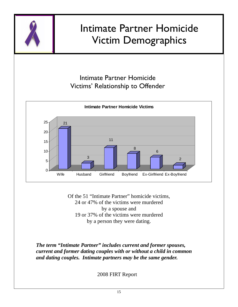

### Intimate Partner Homicide Victims' Relationship to Offender



Of the 51 "Intimate Partner" homicide victims, 24 or 47% of the victims were murdered by a spouse and 19 or 37% of the victims were murdered by a person they were dating.

*The term "Intimate Partner" includes current and former spouses, current and former dating couples with or without a child in common and dating couples. Intimate partners may be the same gender.*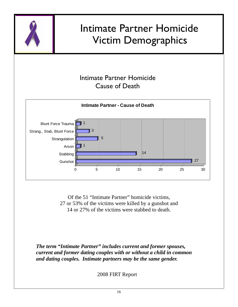

Of the 51 "Intimate Partner" homicide victims, 27 or 53% of the victims were killed by a gunshot and 14 or 27% of the victims were stabbed to death.

*The term "Intimate Partner" includes current and former spouses, current and former dating couples with or without a child in common and dating couples. Intimate partners may be the same gender.*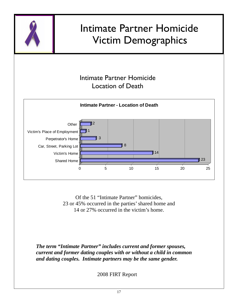

Of the 51 "Intimate Partner" homicides, 23 or 45% occurred in the parties' shared home and 14 or 27% occurred in the victim's home.

*The term "Intimate Partner" includes current and former spouses, current and former dating couples with or without a child in common and dating couples. Intimate partners may be the same gender.*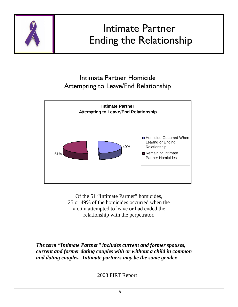

Of the 51 "Intimate Partner" homicides, 25 or 49% of the homicides occurred when the victim attempted to leave or had ended the relationship with the perpetrator.

*The term "Intimate Partner" includes current and former spouses, current and former dating couples with or without a child in common and dating couples. Intimate partners may be the same gender.*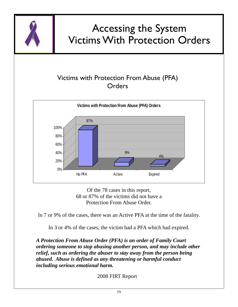

Of the 78 cases in this report, 68 or 87% of the victims did not have a Protection From Abuse Order.

In 7 or 9% of the cases, there was an Active PFA at the time of the fatality.

In 3 or 4% of the cases, the victim had a PFA which had expired.

*A Protection From Abuse Order (PFA) is an order of Family Court ordering someone to stop abusing another person, and may include other relief, such as ordering the abuser to stay away from the person being abused. Abuse is defined as any threatening or harmful conduct including serious emotional harm.*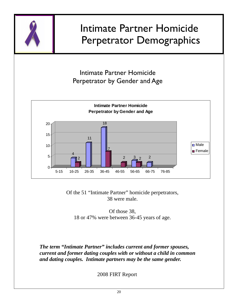

Of the 51 "Intimate Partner" homicide perpetrators, 38 were male.

Of those 38, 18 or 47% were between 36-45 years of age.

*The term "Intimate Partner" includes current and former spouses, current and former dating couples with or without a child in common and dating couples. Intimate partners may be the same gender.*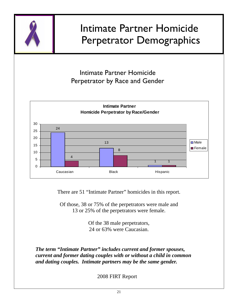

There are 51 "Intimate Partner" homicides in this report.

Of those, 38 or 75% of the perpetrators were male and 13 or 25% of the perpetrators were female.

> Of the 38 male perpetrators, 24 or 63% were Caucasian.

*The term "Intimate Partner" includes current and former spouses, current and former dating couples with or without a child in common and dating couples. Intimate partners may be the same gender.*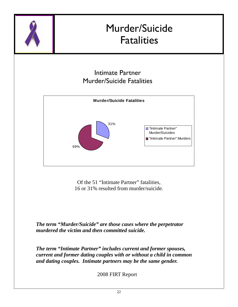

Of the 51 "Intimate Partner" fatalities, 16 or 31% resulted from murder/suicide.

*The term "Murder/Suicide" are those cases where the perpetrator murdered the victim and then committed suicide.* 

*The term "Intimate Partner" includes current and former spouses, current and former dating couples with or without a child in common and dating couples. Intimate partners may be the same gender.*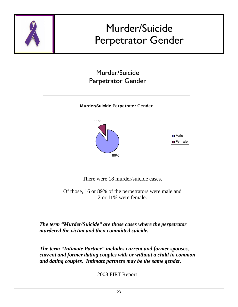

There were 18 murder/suicide cases.

Of those, 16 or 89% of the perpetrators were male and 2 or 11% were female.

*The term "Murder/Suicide" are those cases where the perpetrator murdered the victim and then committed suicide.* 

*The term "Intimate Partner" includes current and former spouses, current and former dating couples with or without a child in common and dating couples. Intimate partners may be the same gender.*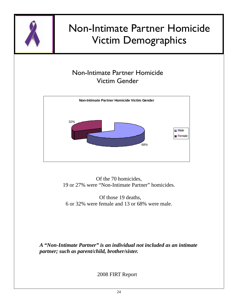

### Non-Intimate Partner Homicide Victim Gender



Of the 70 homicides, 19 or 27% were "Non-Intimate Partner" homicides.

 Of those 19 deaths, 6 or 32% were female and 13 or 68% were male.

*A "Non-Intimate Partner" is an individual not included as an intimate partner; such as parent/child, brother/sister.*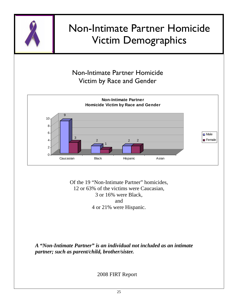

### Non-Intimate Partner Homicide Victim by Race and Gender



Of the 19 "Non-Intimate Partner" homicides, 12 or 63% of the victims were Caucasian, 3 or 16% were Black, and 4 or 21% were Hispanic.

*A "Non-Intimate Partner" is an individual not included as an intimate partner; such as parent/child, brother/sister.*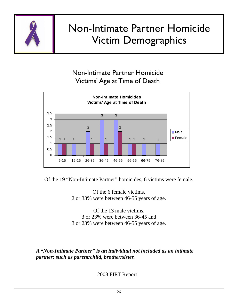

### Non-Intimate Partner Homicide Victims' Age at Time of Death



Of the 19 "Non-Intimate Partner" homicides, 6 victims were female.

Of the 6 female victims, 2 or 33% were between 46-55 years of age.

Of the 13 male victims, 3 or 23% were between 36-45 and 3 or 23% were between 46-55 years of age.

*A "Non-Intimate Partner" is an individual not included as an intimate partner; such as parent/child, brother/sister.*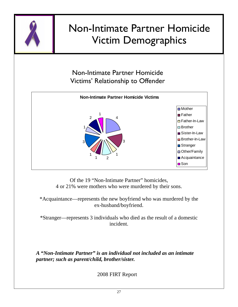

Non-Intimate Partner Homicide Victims' Relationship to Offender



Of the 19 "Non-Intimate Partner" homicides, 4 or 21% were mothers who were murdered by their sons.

\*Acquaintance—represents the new boyfriend who was murdered by the ex-husband/boyfriend.

\*Stranger—represents 3 individuals who died as the result of a domestic incident.

*A "Non-Intimate Partner" is an individual not included as an intimate partner; such as parent/child, brother/sister.*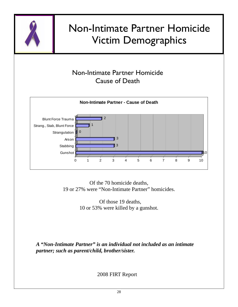

### Non-Intimate Partner Homicide Cause of Death



Of the 70 homicide deaths, 19 or 27% were "Non-Intimate Partner" homicides.

> Of those 19 deaths, 10 or 53% were killed by a gunshot.

*A "Non-Intimate Partner" is an individual not included as an intimate partner; such as parent/child, brother/sister.*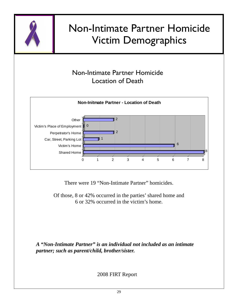

### Non-Intimate Partner Homicide Location of Death



There were 19 "Non-Intimate Partner" homicides.

Of those, 8 or 42% occurred in the parties' shared home and 6 or 32% occurred in the victim's home.

*A "Non-Intimate Partner" is an individual not included as an intimate partner; such as parent/child, brother/sister.*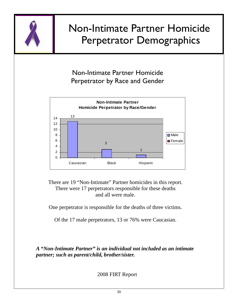

# Non-Intimate Partner Homicide Perpetrator Demographics

Non-Intimate Partner Homicide Perpetrator by Race and Gender



There are 19 "Non-Intimate" Partner homicides in this report. There were 17 perpetrators responsible for these deaths and all were male.

One perpetrator is responsible for the deaths of three victims.

Of the 17 male perpetrators, 13 or 76% were Caucasian.

*A "Non-Intimate Partner" is an individual not included as an intimate partner; such as parent/child, brother/sister.*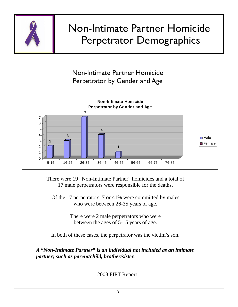

There were 19 "Non-Intimate Partner" homicides and a total of 17 male perpetrators were responsible for the deaths.

Of the 17 perpetrators, 7 or 41% were committed by males who were between 26-35 years of age.

> There were 2 male perpetrators who were between the ages of 5-15 years of age.

In both of these cases, the perpetrator was the victim's son.

*A "Non-Intimate Partner" is an individual not included as an intimate partner; such as parent/child, brother/sister.*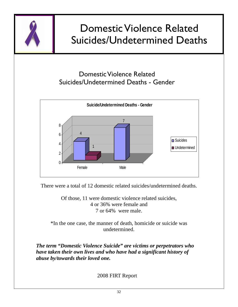

There were a total of 12 domestic related suicides/undetermined deaths.

Of those, 11 were domestic violence related suicides, 4 or 36% were female and 7 or 64% were male.

\*In the one case, the manner of death, homicide or suicide was undetermined.

*The term "Domestic Violence Suicide" are victims or perpetrators who have taken their own lives and who have had a significant history of abuse by/towards their loved one.*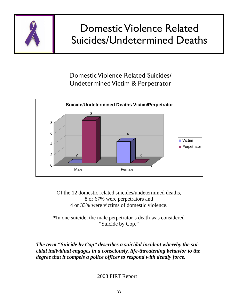

# Domestic Violence Related Suicides/Undetermined Deaths

Domestic Violence Related Suicides/ Undetermined Victim & Perpetrator



Of the 12 domestic related suicides/undetermined deaths, 8 or 67% were perpetrators and 4 or 33% were victims of domestic violence.

\*In one suicide, the male perpetrator's death was considered "Suicide by Cop."

*The term "Suicide by Cop" describes a suicidal incident whereby the suicidal individual engages in a consciously, life-threatening behavior to the degree that it compels a police officer to respond with deadly force.*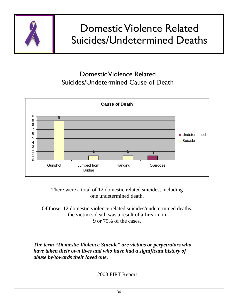

# Domestic Violence Related Suicides/Undetermined Deaths

### Domestic Violence Related Suicides/Undetermined Cause of Death



There were a total of 12 domestic related suicides, including one undetermined death.

Of those, 12 domestic violence related suicides/undetermined deaths, the victim's death was a result of a firearm in 9 or 75% of the cases.

*The term "Domestic Violence Suicide" are victims or perpetrators who have taken their own lives and who have had a significant history of abuse by/towards their loved one.*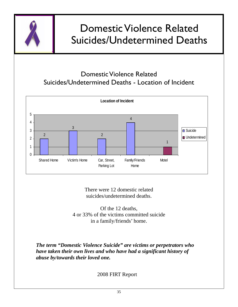

# Domestic Violence Related Suicides/Undetermined Deaths

### Domestic Violence Related Suicides/Undetermined Deaths - Location of Incident



There were 12 domestic related suicides/undetermined deaths.

Of the 12 deaths, 4 or 33% of the victims committed suicide in a family/friends' home.

*The term "Domestic Violence Suicide" are victims or perpetrators who have taken their own lives and who have had a significant history of abuse by/towards their loved one.*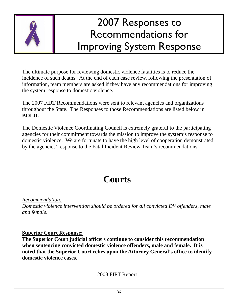

The ultimate purpose for reviewing domestic violence fatalities is to reduce the incidence of such deaths. At the end of each case review, following the presentation of information, team members are asked if they have any recommendations for improving the system response to domestic violence.

The 2007 FIRT Recommendations were sent to relevant agencies and organizations throughout the State. The Responses to those Recommendations are listed below in **BOLD.** 

The Domestic Violence Coordinating Council is extremely grateful to the participating agencies for their commitment towards the mission to improve the system's response to domestic violence. We are fortunate to have the high level of cooperation demonstrated by the agencies' response to the Fatal Incident Review Team's recommendations.

### **Courts**

*Recommendation:*

*Domestic violence intervention should be ordered for all convicted DV offenders, male and female.* 

#### **Superior Court Response:**

**The Superior Court judicial officers continue to consider this recommendation when sentencing convicted domestic violence offenders, male and female. It is noted that the Superior Court relies upon the Attorney General's office to identify domestic violence cases.**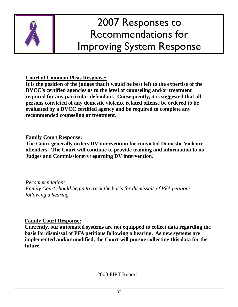

**Court of Common Pleas Response:**

**It is the position of the judges that it would be best left to the expertise of the DVCC's certified agencies as to the level of counseling and/or treatment required for any particular defendant. Consequently, it is suggested that all persons convicted of any domestic violence related offense be ordered to be evaluated by a DVCC certified agency and be required to complete any recommended counseling or treatment.** 

### **Family Court Response:**

**The Court generally orders DV intervention for convicted Domestic Violence offenders. The Court will continue to provide training and information to its Judges and Commissioners regarding DV intervention.** 

### *Recommendation:*

*Family Court should begin to track the basis for dismissals of PFA petitions following a hearing.* 

### **Family Court Response:**

**Currently, our automated systems are not equipped to collect data regarding the basis for dismissal of PFA petitions following a hearing. As new systems are implemented and/or modified, the Court will pursue collecting this data for the future.**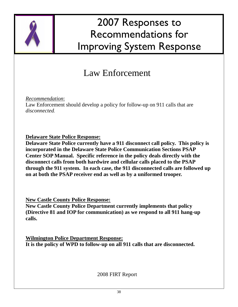

### Law Enforcement

*Recommendation*:

Law Enforcement should develop a policy for follow-up on 911 calls that are *disconnected.* 

**Delaware State Police Response:** 

**Delaware State Police currently have a 911 disconnect call policy. This policy is incorporated in the Delaware State Police Communication Sections PSAP Center SOP Manual. Specific reference in the policy deals directly with the disconnect calls from both hardwire and cellular calls placed to the PSAP through the 911 system. In each case, the 911 disconnected calls are followed up on at both the PSAP receiver end as well as by a uniformed trooper.** 

**New Castle County Police Response:**

**New Castle County Police Department currently implements that policy (Directive 81 and IOP for communication) as we respond to all 911 hang-up calls.** 

**Wilmington Police Department Response: It is the policy of WPD to follow-up on all 911 calls that are disconnected.**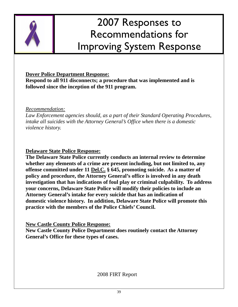

#### **Dover Police Department Response:**

**Respond to all 911 disconnects; a procedure that was implemented and is followed since the inception of the 911 program.** 

*Recommendation:*

*Law Enforcement agencies should, as a part of their Standard Operating Procedures, intake all suicides with the Attorney General's Office when there is a domestic violence history.* 

**Delaware State Police Response:** 

**The Delaware State Police currently conducts an internal review to determine whether any elements of a crime are present including, but not limited to, any offense committed under 11 Del.C. § 645, promoting suicide. As a matter of policy and procedure, the Attorney General's office is involved in any death investigation that has indications of foul play or criminal culpability. To address your concerns, Delaware State Police will modify their policies to include an Attorney General's intake for every suicide that has an indication of domestic violence history. In addition, Delaware State Police will promote this practice with the members of the Police Chiefs' Council.** 

**New Castle County Police Response:**

**New Castle County Police Department does routinely contact the Attorney General's Office for these types of cases.**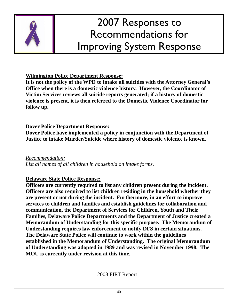

#### **Wilmington Police Department Response:**

**It is not the policy of the WPD to intake all suicides with the Attorney General's Office when there is a domestic violence history. However, the Coordinator of Victim Services reviews all suicide reports generated; if a history of domestic violence is present, it is then referred to the Domestic Violence Coordinator for follow up.** 

### **Dover Police Department Response:**

**Dover Police have implemented a policy in conjunction with the Department of Justice to intake Murder/Suicide where history of domestic violence is known.** 

*Recommendation: List all names of all children in household on intake forms*.

### **Delaware State Police Response:**

**Officers are currently required to list any children present during the incident. Officers are also required to list children residing in the household whether they are present or not during the incident. Furthermore, in an effort to improve services to children and families and establish guidelines for collaboration and communication, the Department of Services for Children, Youth and Their Families, Delaware Police Departments and the Department of Justice created a Memorandum of Understanding for this specific purpose. The Memorandum of Understanding requires law enforcement to notify DFS in certain situations. The Delaware State Police will continue to work within the guidelines established in the Memorandum of Understanding. The original Memorandum of Understanding was adopted in 1989 and was revised in November 1998. The MOU is currently under revision at this time.**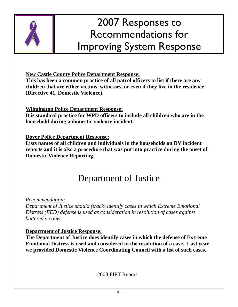

**New Castle County Police Department Response:**

**This has been a common practice of all patrol officers to list if there are any children that are either victims, witnesses, or even if they live in the residence (Directive 41, Domestic Violence).** 

### **Wilmington Police Department Response:**

**It is standard practice for WPD officers to include all children who are in the household during a domestic violence incident.** 

**Dover Police Department Response:** 

**Lists names of all children and individuals in the households on DV incident reports and it is also a procedure that was put into practice during the onset of Domestic Violence Reporting.** 

### Department of Justice

*Recommendation:*

*Department of Justice should (track) identify cases in which Extreme Emotional Distress (EED) defense is used as consideration in resolution of cases against battered victims.* 

### **Department of Justice Response:**

**The Department of Justice does identify cases in which the defense of Extreme Emotional Distress is used and considered in the resolution of a case. Last year, we provided Domestic Violence Coordinating Council with a list of such cases.**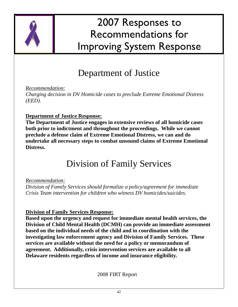

### Department of Justice

*Recommendation:*

*Charging decision in DV Homicide cases to preclude Extreme Emotional Distress (EED).* 

#### **Department of Justice Response:**

**The Department of Justice engages in extensive reviews of all homicide cases both prior to indictment and throughout the proceedings. While we cannot preclude a defense claim of Extreme Emotional Distress, we can and do undertake all necessary steps to combat unsound claims of Extreme Emotional Distress.** 

### Division of Family Services

#### *Recommendation:*

*Division of Family Services should formalize a policy/agreement for immediate Crisis Team intervention for children who witness DV homicides/suicides.* 

#### **Division of Family Services Response:**

**Based upon the urgency and request for immediate mental health services, the Division of Child Mental Health (DCMH) can provide an immediate assessment based on the individual needs of the child and in coordination with the investigating law enforcement agency and Division of Family Services. These services are available without the need for a policy or memorandum of agreement. Additionally, crisis intervention services are available to all Delaware residents regardless of income and insurance eligibility.**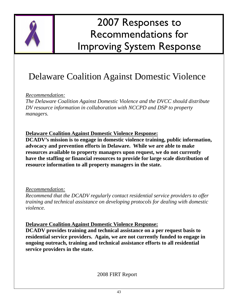

### Delaware Coalition Against Domestic Violence

*Recommendation:*

*The Delaware Coalition Against Domestic Violence and the DVCC should distribute DV resource information in collaboration with NCCPD and DSP to property managers.* 

**Delaware Coalition Against Domestic Violence Response:**

**DCADV's mission is to engage in domestic violence training, public information, advocacy and prevention efforts in Delaware. While we are able to make resources available to property managers upon request, we do not currently have the staffing or financial resources to provide for large scale distribution of resource information to all property managers in the state.** 

*Recommendation:*

*Recommend that the DCADV regularly contact residential service providers to offer training and technical assistance on developing protocols for dealing with domestic violence.* 

**Delaware Coalition Against Domestic Violence Response:**

**DCADV provides training and technical assistance on a per request basis to residential service providers. Again, we are not currently funded to engage in ongoing outreach, training and technical assistance efforts to all residential service providers in the state.**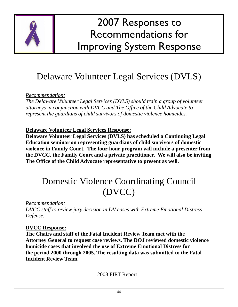

### Delaware Volunteer Legal Services (DVLS)

*Recommendation:*

*The Delaware Volunteer Legal Services (DVLS) should train a group of volunteer attorneys in conjunction with DVCC and The Office of the Child Advocate to represent the guardians of child survivors of domestic violence homicides.* 

**Delaware Volunteer Legal Services Response:**

**Delaware Volunteer Legal Services (DVLS) has scheduled a Continuing Legal Education seminar on representing guardians of child survivors of domestic violence in Family Court. The four-hour program will include a presenter from the DVCC, the Family Court and a private practitioner. We will also be inviting The Office of the Child Advocate representative to present as well.** 

### Domestic Violence Coordinating Council (DVCC)

*Recommendation: DVCC staff to review jury decision in DV cases with Extreme Emotional Distress Defense.* 

### **DVCC Response:**

**The Chairs and staff of the Fatal Incident Review Team met with the Attorney General to request case reviews. The DOJ reviewed domestic violence homicide cases that involved the use of Extreme Emotional Distress for the period 2000 through 2005. The resulting data was submitted to the Fatal Incident Review Team.**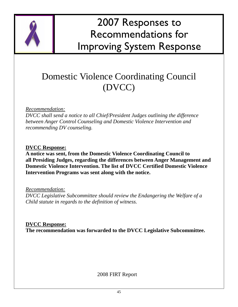

### Domestic Violence Coordinating Council (DVCC)

#### *Recommendation:*

*DVCC shall send a notice to all Chief/President Judges outlining the difference between Anger Control Counseling and Domestic Violence Intervention and recommending DV counseling.* 

#### **DVCC Response:**

**A notice was sent, from the Domestic Violence Coordinating Council to all Presiding Judges, regarding the differences between Anger Management and Domestic Violence Intervention. The list of DVCC Certified Domestic Violence Intervention Programs was sent along with the notice.** 

*Recommendation:*

*DVCC Legislative Subcommittee should review the Endangering the Welfare of a Child statute in regards to the definition of witness.* 

**DVCC Response: The recommendation was forwarded to the DVCC Legislative Subcommittee.**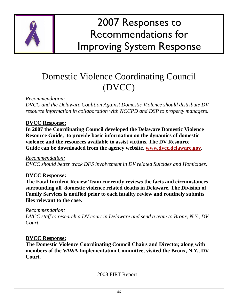

### Domestic Violence Coordinating Council (DVCC)

*Recommendation:*

*DVCC and the Delaware Coalition Against Domestic Violence should distribute DV resource information in collaboration with NCCPD and DSP to property managers.* 

### **DVCC Response:**

**In 2007 the Coordinating Council developed the Delaware Domestic Violence Resource Guide, to provide basic information on the dynamics of domestic violence and the resources available to assist victims. The DV Resource Guide can be downloaded from the agency website, www.dvcc.delaware.gov.** 

#### *Recommendation:*

*DVCC should better track DFS involvement in DV related Suicides and Homicides.* 

#### **DVCC Response:**

**The Fatal Incident Review Team currently reviews the facts and circumstances surrounding all domestic violence related deaths in Delaware. The Division of Family Services is notified prior to each fatality review and routinely submits files relevant to the case.** 

#### *Recommendation:*

*DVCC staff to research a DV court in Delaware and send a team to Bronx, N.Y., DV Court.* 

#### **DVCC Response:**

**The Domestic Violence Coordinating Council Chairs and Director, along with members of the VAWA Implementation Committee, visited the Bronx, N.Y., DV Court.**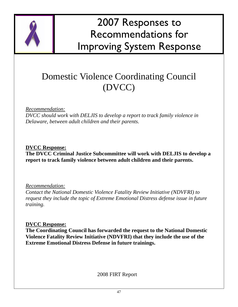

### Domestic Violence Coordinating Council (DVCC)

#### *Recommendation:*

*DVCC should work with DELJIS to develop a report to track family violence in Delaware, between adult children and their parents.* 

**DVCC Response: The DVCC Criminal Justice Subcommittee will work with DELJIS to develop a report to track family violence between adult children and their parents.** 

*Recommendation:*

*Contact the National Domestic Violence Fatality Review Initiative (NDVFRI) to request they include the topic of Extreme Emotional Distress defense issue in future training.* 

**DVCC Response:**

**The Coordinating Council has forwarded the request to the National Domestic Violence Fatality Review Initiative (NDVFRI) that they include the use of the Extreme Emotional Distress Defense in future trainings.**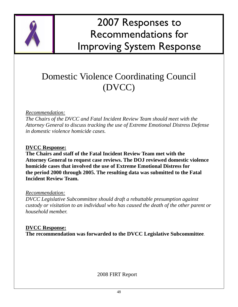

### Domestic Violence Coordinating Council (DVCC)

#### *Recommendation:*

*The Chairs of the DVCC and Fatal Incident Review Team should meet with the Attorney General to discuss tracking the use of Extreme Emotional Distress Defense in domestic violence homicide cases.* 

#### **DVCC Response:**

**The Chairs and staff of the Fatal Incident Review Team met with the Attorney General to request case reviews. The DOJ reviewed domestic violence homicide cases that involved the use of Extreme Emotional Distress for the period 2000 through 2005. The resulting data was submitted to the Fatal Incident Review Team.** 

#### *Recommendation:*

*DVCC Legislative Subcommittee should draft a rebuttable presumption against custody or visitation to an individual who has caused the death of the other parent or household member.* 

**DVCC Response: The recommendation was forwarded to the DVCC Legislative Subcommittee**.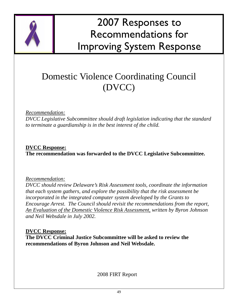

### Domestic Violence Coordinating Council (DVCC)

#### *Recommendation:*

*DVCC Legislative Subcommittee should draft legislation indicating that the standard to terminate a guardianship is in the best interest of the child.* 

**DVCC Response: The recommendation was forwarded to the DVCC Legislative Subcommittee.** 

*Recommendation:*

*DVCC should review Delaware's Risk Assessment tools, coordinate the information that each system gathers, and explore the possibility that the risk assessment be incorporated in the integrated computer system developed by the Grants to Encourage Arrest. The Council should revisit the recommendations from the report, An Evaluation of the Domestic Violence Risk Assessment, written by Byron Johnson and Neil Websdale in July 2002.* 

**DVCC Response: The DVCC Criminal Justice Subcommittee will be asked to review the recommendations of Byron Johnson and Neil Websdale.**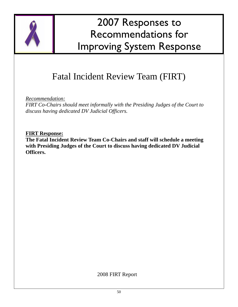

### Fatal Incident Review Team (FIRT)

*Recommendation:*

*FIRT Co-Chairs should meet informally with the Presiding Judges of the Court to discuss having dedicated DV Judicial Officers.* 

**FIRT Response:**

**The Fatal Incident Review Team Co-Chairs and staff will schedule a meeting with Presiding Judges of the Court to discuss having dedicated DV Judicial Officers.**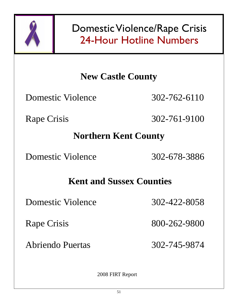

Domestic Violence/Rape Crisis 24-Hour Hotline Numbers

### **New Castle County**

Domestic Violence 302-762-6110

Rape Crisis 302-761-9100

### **Northern Kent County**

Domestic Violence 302-678-3886

### **Kent and Sussex Counties**

Domestic Violence 302-422-8058

Rape Crisis 800-262-9800

Abriendo Puertas 302-745-9874